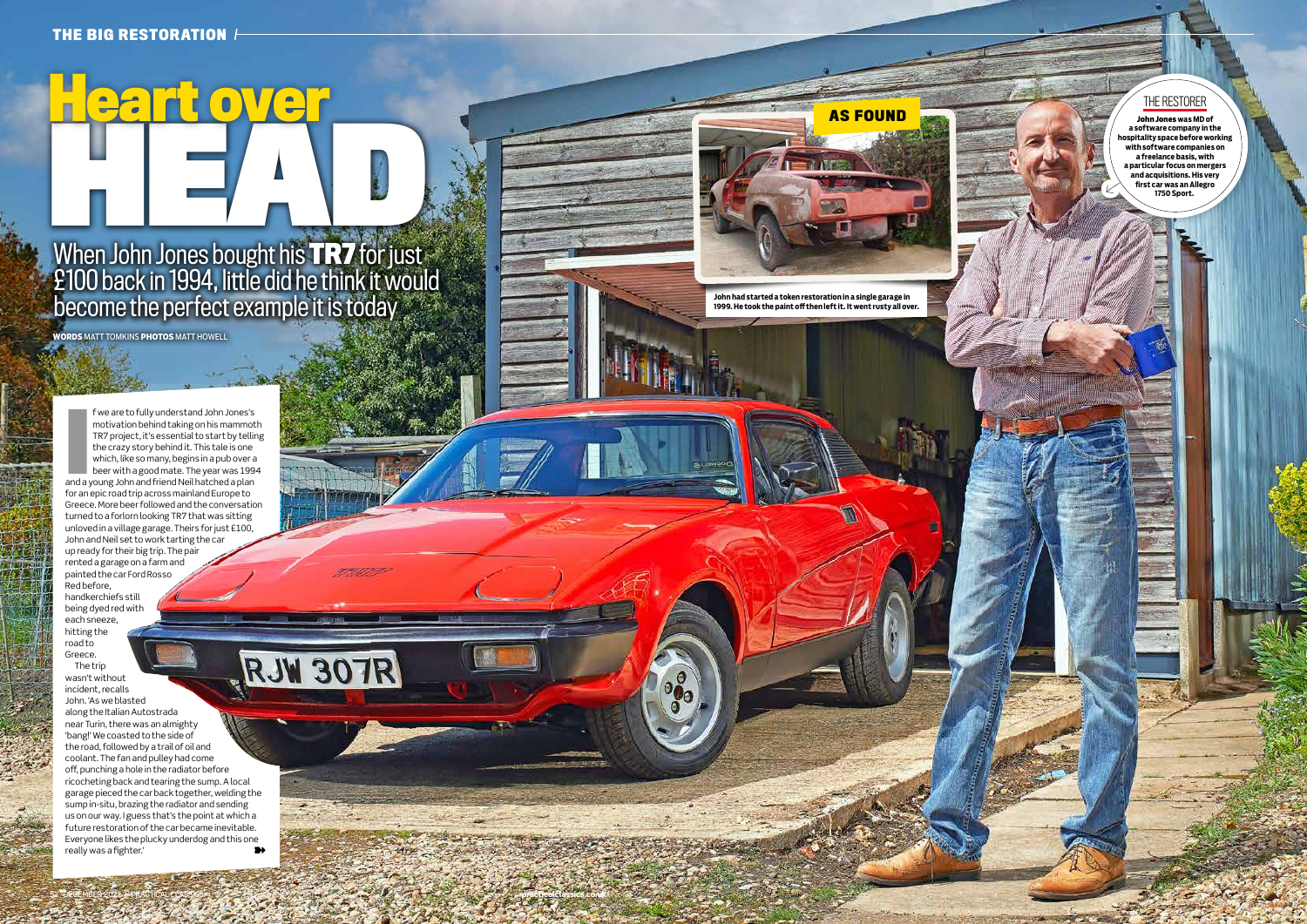# When John Jones bought his **TR7** for just £100 back in 1994, little did he think it would become the perfect example it is today When John Jones beyek bis T.P.7 for just

f we are to fully understand John Jones's f we are to fully understand John Jones's<br>motivation behind taking on his mammot<br>TR7 project, it's essential to start by tellir<br>the crazy story behind it. This tale is one<br>which, like so many, begins in a pub over a<br>beer w motivation behind taking on his mammoth TR7 project, it's essential to start by telling the crazy story behind it. This tale is one which, like so many, begins in a pub over a beer with a good mate. The year was 1994 for an epic road trip across mainland Europe to Greece. More beer followed and the conversation turned to a forlorn looking TR7 that was sitting unloved in a village garage. Theirs for just £100, John and Neil set to work tarting the car up ready for their big trip. The pair rented a garage on a farm and painted the car Ford Rosso .<br>Red before, handkerchiefs still being dyed red with each sneeze, hitting the road to RJW 307R Greece. The trip wasn't without incident, recalls John. 'As we blasted along the Italian Autostrada near Turin, there was an almighty 'bang!' We coasted to the side of the road, followed by a trail of oil and coolant. The fan and pulley had come off, punching a hole in the radiator before

**WORDS** MATT TOMKINS **PHOTOS** MATT HOWELL

**Heart over**

ricocheting back and tearing the sump. A local garage pieced the car back together, welding the sump in-situ, brazing the radiator and sending us on our way. I guess that's the point at which a future restoration of the car became inevitable. Everyone likes the plucky underdog and this one really was a fighter.' ➽

52 DECEMBER 2021 // PRACTICAL CLASSICS processes and contract processes processes and contract processes and contract processes and contract processes and contract processes and contract processes and contract processes an

**John had started a token restoration in a single garage in 1999. He took the paint off then left it. It went rusty all over.** 

**AS FOUND**

### THE RESTORER

**John Jones was MD of a software company in the hospitality space before working with software companies on a freelance basis, with a particular focus on mergers and acquisitions. His very first car was an Allegro 1750 Sport.**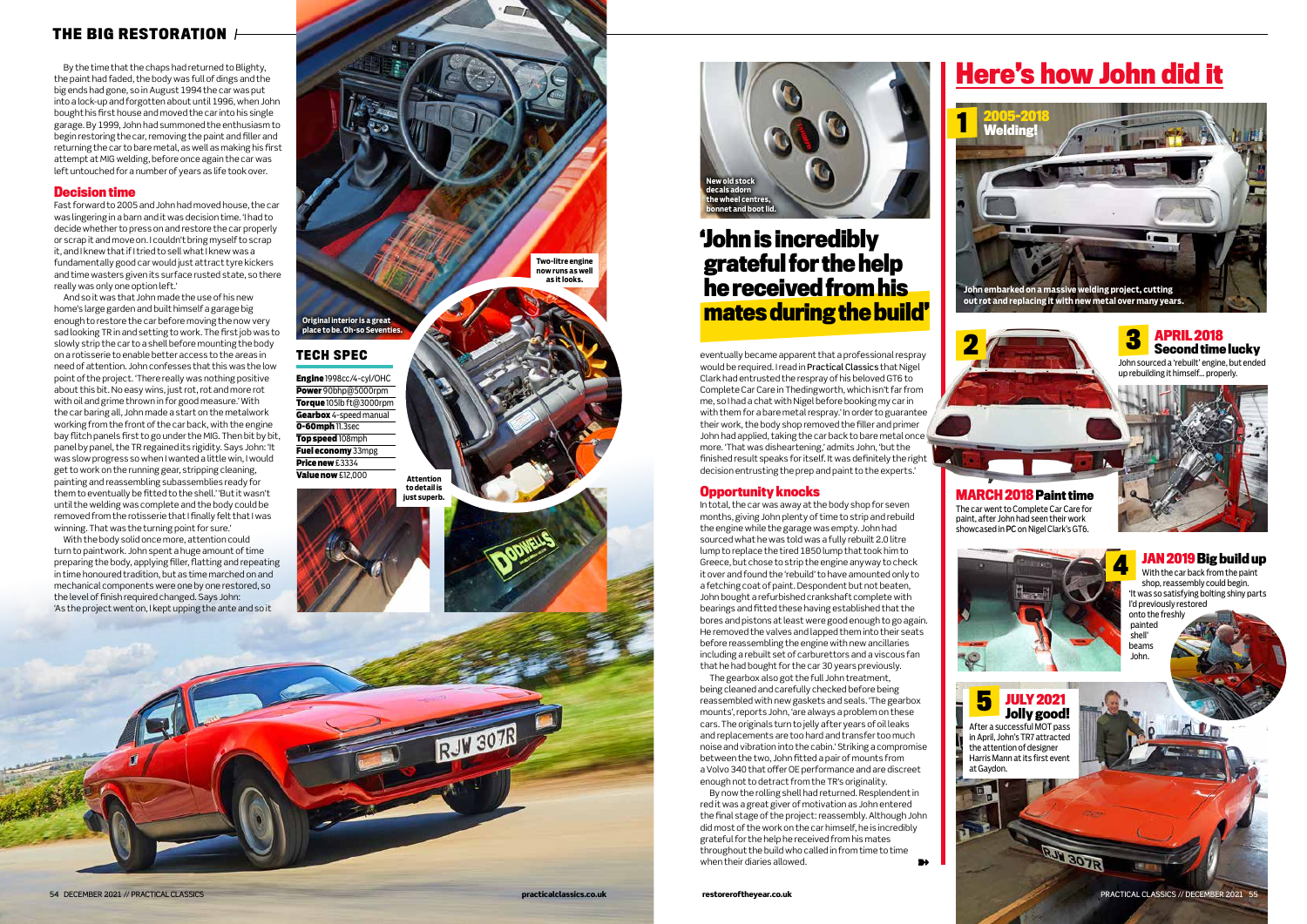## **Here's how John did it**

### **THE BIG RESTORATION**

eventually became apparent that a professional respray would be required. I read in Practical Classics that Nigel Clark had entrusted the respray of his beloved GT6 to Complete Car Care in Thedingworth, which isn't far from me, so I had a chat with Nigel before booking my car in with them for a bare metal respray.' In order to guarantee their work, the body shop removed the filler and primer John had applied, taking the car back to bare metal once more. 'That was disheartening,' admits John, 'but the finished result speaks for itself. It was definitely the right decision entrusting the prep and paint to the experts.'

### **Opportunity knocks**

The gearbox also got the full John treatment, being cleaned and carefully checked before being reassembled with new gaskets and seals. 'The gearbox mounts', reports John, 'are always a problem on these cars. The originals turn to jelly after years of oil leaks and replacements are too hard and transfer too much noise and vibration into the cabin.' Striking a compromise between the two, John fitted a pair of mounts from a Volvo 340 that offer OE performance and are discreet enough not to detract from the TR's originality.

In total, the car was away at the body shop for seven months, giving John plenty of time to strip and rebuild the engine while the garage was empty. John had sourced what he was told was a fully rebuilt 2.0 litre lump to replace the tired 1850 lump that took him to Greece, but chose to strip the engine anyway to check it over and found the 'rebuild' to have amounted only to a fetching coat of paint. Despondent but not beaten, John bought a refurbished crankshaft complete with bearings and fitted these having established that the bores and pistons at least were good enough to go again. He removed the valves and lapped them into their seats before reassembling the engine with new ancillaries including a rebuilt set of carburettors and a viscous fan that he had bought for the car 30 years previously.

With the body solid once more, attention could turn to paintwork. John spent a huge amount of time preparing the body, applying filler, flatting and repeating in time honoured tradition, but as time marched on and mechanical components were one by one restored, so the level of finish required changed. Says John: 'As the project went on, I kept upping the ante and so it

By the time that the chaps had returned to Blighty, the paint had faded, the body was full of dings and the big ends had gone, so in August 1994 the car was put into a lock-up and forgotten about until 1996, when John bought his first house and moved the car into his single garage. By 1999, John had summoned the enthusiasm to begin restoring the car, removing the paint and filler and returning the car to bare metal, as well as making his first attempt at MIG welding, before once again the car was left untouched for a number of years as life took over.

### **Decision time**

Fast forward to 2005 and John had moved house, the car was lingering in a barn and it was decision time. 'I had to decide whether to press on and restore the car properly or scrap it and move on. I couldn't bring myself to scrap it, and I knew that if I tried to sell what I knew was a fundamentally good car would just attract tyre kickers and time wasters given its surface rusted state, so there really was only one option left.'

> By now the rolling shell had returned. Resplendent in red it was a great giver of motivation as John entered the final stage of the project: reassembly. Although John did most of the work on the car himself, he is incredibly grateful for the help he received from his mates throughout the build who called in from time to time when their diaries allowed. ➽

And so it was that John made the use of his new home's large garden and built himself a garage big enough to restore the car before moving the now very sad looking TR in and setting to work. The first job was to slowly strip the car to a shell before mounting the body on a rotisserie to enable better access to the areas in need of attention. John confesses that this was the low point of the project. 'There really was nothing positive about this bit. No easy wins, just rot, rot and more rot with oil and grime thrown in for good measure.' With the car baring all, John made a start on the metalwork working from the front of the car back, with the engine bay flitch panels first to go under the MIG. Then bit by bit, panel by panel, the TR regained its rigidity. Says John: 'It was slow progress so when I wanted a little win, I would get to work on the running gear, stripping cleaning, painting and reassembling subassemblies ready for them to eventually be fitted to the shell.' 'But it wasn't until the welding was complete and the body could be removed from the rotisserie that I finally felt that I was winning. That was the turning point for sure.'

### **Original interior is a great place to be. Oh-so Seventies. Attention to detail is just superb.** Engine 1998cc/4-cyl/OHC Power 90bhp@5000rpm Torque 105lb ft@3000rpm Gearbox 4-speed manual 0-60mph 11.3sec Top speed 108mph Fuel economy 33mpg Price new £3334 Value now £12,000 **TECH SPEC**

**New old stock decals adorn the wheel centres, bonnet and boot lid.**



#### With the car back from the paint shop, reassembly could begin. 'It was so satisfying bolting shiny parts I'd previously restored onto the freshly painted shell' beams John.



**1**



### **JULY 2021 Jolly good!**

After a successful MOT pass in April, John's TR7 attracted the attention of designer Harris Mann at its first event at Gaydon.



RUI 30TR



**Two-litre engine now runs as well as it looks.**

> **MARCH 2018Paint time** The car went to Complete Car Care for paint, after John had seen their work showcased in PC on Nigel Clark's GT6.



**APRIL 2018 Second time lucky** John sourced a 'rebuilt' engine, but ended up rebuilding it himself… properly.



### **'John is incredibly grateful for the help he received from his mates during the build'**